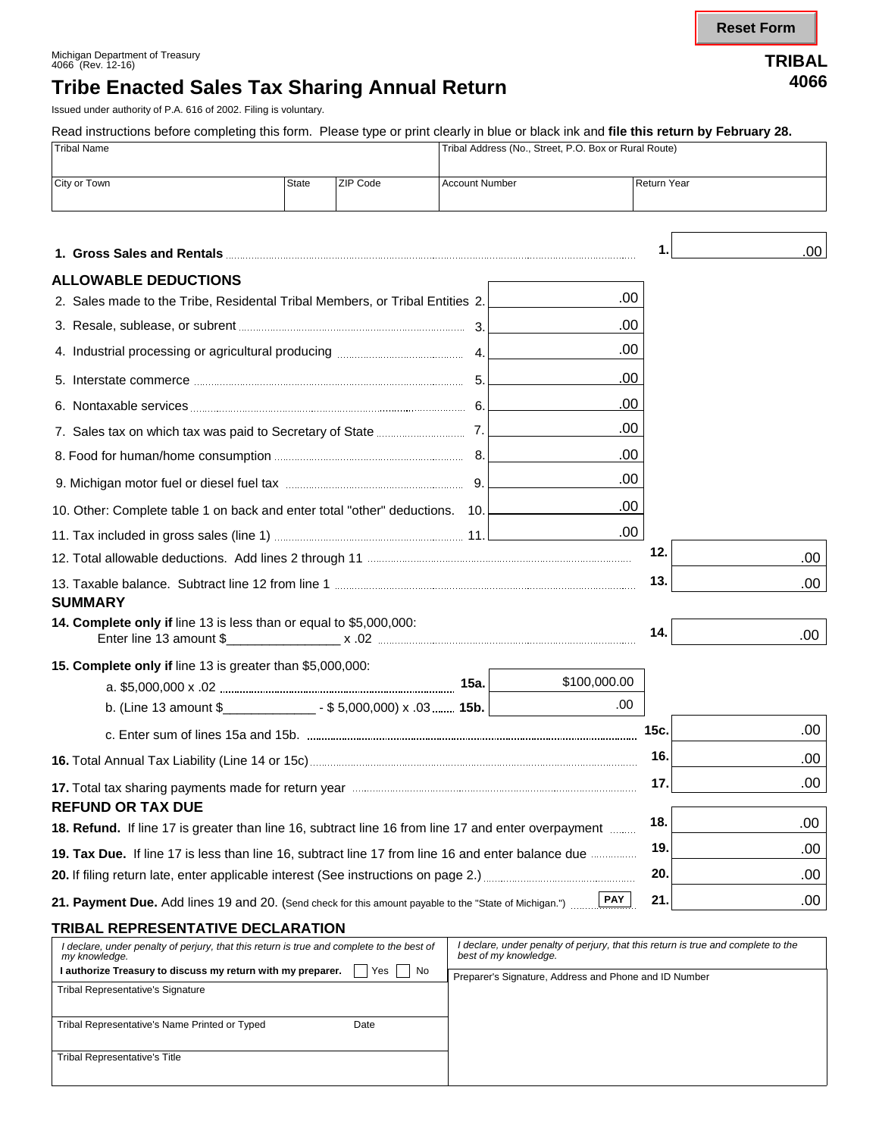**Reset Form**

## **Tribe Enacted Sales Tax Sharing Annual Return <sup>4066</sup>**

Issued under authority of P.A. 616 of 2002. Filing is voluntary.

Read instructions before completing this form. Please type or print clearly in blue or black ink and **file this return by February 28.** 

| Read instructions before completing this form. Please type or print clearly in blue or black lift and <b>hie this return by February 26.</b><br><b>Tribal Name</b> |              |          |                       | Tribal Address (No., Street, P.O. Box or Rural Route) |                    |      |  |
|--------------------------------------------------------------------------------------------------------------------------------------------------------------------|--------------|----------|-----------------------|-------------------------------------------------------|--------------------|------|--|
| City or Town                                                                                                                                                       | <b>State</b> | ZIP Code | <b>Account Number</b> |                                                       | <b>Return Year</b> |      |  |
|                                                                                                                                                                    |              |          |                       |                                                       |                    | .00. |  |
| <b>ALLOWABLE DEDUCTIONS</b>                                                                                                                                        |              |          |                       |                                                       |                    |      |  |
| .00<br>2. Sales made to the Tribe, Residental Tribal Members, or Tribal Entities 2.                                                                                |              |          |                       |                                                       |                    |      |  |
|                                                                                                                                                                    |              |          |                       | .00                                                   |                    |      |  |
|                                                                                                                                                                    |              |          |                       | .00                                                   |                    |      |  |
|                                                                                                                                                                    |              |          |                       | .00                                                   |                    |      |  |
|                                                                                                                                                                    |              |          |                       | .00                                                   |                    |      |  |
|                                                                                                                                                                    |              |          |                       | .00                                                   |                    |      |  |
|                                                                                                                                                                    |              |          | .00                   |                                                       |                    |      |  |
|                                                                                                                                                                    |              |          |                       | .00                                                   |                    |      |  |
| 10. Other: Complete table 1 on back and enter total "other" deductions. 10.                                                                                        |              |          |                       | .00                                                   |                    |      |  |
|                                                                                                                                                                    |              |          |                       | .00                                                   |                    |      |  |
|                                                                                                                                                                    |              |          |                       |                                                       | 12.                | .00  |  |
|                                                                                                                                                                    |              |          |                       |                                                       | 13.                | .00  |  |
| <b>SUMMARY</b><br><b>14. Complete only if line 13 is less than or equal to \$5,000,000:</b>                                                                        |              |          |                       |                                                       | 14.                | .00  |  |
| 15. Complete only if line 13 is greater than \$5,000,000:                                                                                                          |              |          |                       |                                                       |                    |      |  |
|                                                                                                                                                                    |              |          | 15a.                  | \$100,000.00                                          |                    |      |  |
| b. (Line 13 amount $\frac{2}{3}$ _____________________ - \$5,000,000) x .03  15b.                                                                                  |              |          |                       | .00                                                   |                    |      |  |
|                                                                                                                                                                    |              |          |                       |                                                       | 15c.               | .00  |  |
|                                                                                                                                                                    |              |          |                       |                                                       | 16.                | .00  |  |
| <b>REFUND OR TAX DUE</b>                                                                                                                                           |              |          |                       |                                                       | 17.                | .00. |  |
| 18. Refund. If line 17 is greater than line 16, subtract line 16 from line 17 and enter overpayment                                                                |              |          |                       |                                                       | 18.                | .00  |  |
| 19. Tax Due. If line 17 is less than line 16, subtract line 17 from line 16 and enter balance due                                                                  |              |          |                       |                                                       | 19.                | .00  |  |
|                                                                                                                                                                    |              |          |                       |                                                       | 20.                | .00  |  |
| <b>PAY</b><br>21. Payment Due. Add lines 19 and 20. (Send check for this amount payable to the "State of Michigan.")                                               |              |          |                       |                                                       | 21.                | .00. |  |

#### **TRIBAL REPRESENTATIVE DECLARATION**

| I declare, under penalty of perjury, that this return is true and complete to the best of<br>my knowledge. | I declare, under penalty of perjury, that this return is true and complete to the<br>best of my knowledge. |
|------------------------------------------------------------------------------------------------------------|------------------------------------------------------------------------------------------------------------|
| Yes<br>No<br>I authorize Treasury to discuss my return with my preparer.                                   | Preparer's Signature, Address and Phone and ID Number                                                      |
| <b>Tribal Representative's Signature</b>                                                                   |                                                                                                            |
|                                                                                                            |                                                                                                            |
| Tribal Representative's Name Printed or Typed<br>Date                                                      |                                                                                                            |
|                                                                                                            |                                                                                                            |
| <b>Tribal Representative's Title</b>                                                                       |                                                                                                            |
|                                                                                                            |                                                                                                            |